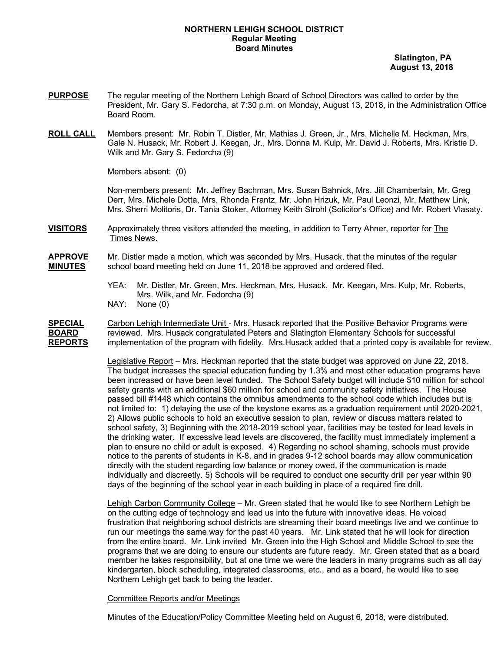## **NORTHERN LEHIGH SCHOOL DISTRICT Regular Meeting Board Minutes**

 **Slatington, PA August 13, 2018**

- **PURPOSE** The regular meeting of the Northern Lehigh Board of School Directors was called to order by the President, Mr. Gary S. Fedorcha, at 7:30 p.m. on Monday, August 13, 2018, in the Administration Office Board Room.
- **ROLL CALL** Members present: Mr. Robin T. Distler, Mr. Mathias J. Green, Jr., Mrs. Michelle M. Heckman, Mrs. Gale N. Husack, Mr. Robert J. Keegan, Jr., Mrs. Donna M. Kulp, Mr. David J. Roberts, Mrs. Kristie D. Wilk and Mr. Gary S. Fedorcha (9)

Members absent: (0)

Non-members present: Mr. Jeffrey Bachman, Mrs. Susan Bahnick, Mrs. Jill Chamberlain, Mr. Greg Derr, Mrs. Michele Dotta, Mrs. Rhonda Frantz, Mr. John Hrizuk, Mr. Paul Leonzi, Mr. Matthew Link, Mrs. Sherri Molitoris, Dr. Tania Stoker, Attorney Keith Strohl (Solicitor's Office) and Mr. Robert Vlasaty.

**VISITORS** Approximately three visitors attended the meeting, in addition to Terry Ahner, reporter for The Times News.

**APPROVE** Mr. Distler made a motion, which was seconded by Mrs. Husack, that the minutes of the regular **MINUTES** school board meeting held on June 11, 2018 be approved and ordered filed.

- YEA: Mr. Distler, Mr. Green, Mrs. Heckman, Mrs. Husack, Mr. Keegan, Mrs. Kulp, Mr. Roberts, Mrs. Wilk, and Mr. Fedorcha (9)
- NAY: None (0)

**SPECIAL** Carbon Lehigh Intermediate Unit - Mrs. Husack reported that the Positive Behavior Programs were **BOARD** reviewed. Mrs. Husack congratulated Peters and Slatington Elementary Schools for successful **REPORTS** implementation of the program with fidelity. Mrs.Husack added that a printed copy is available for review.

> Legislative Report – Mrs. Heckman reported that the state budget was approved on June 22, 2018. The budget increases the special education funding by 1.3% and most other education programs have been increased or have been level funded. The School Safety budget will include \$10 million for school safety grants with an additional \$60 million for school and community safety initiatives. The House passed bill #1448 which contains the omnibus amendments to the school code which includes but is not limited to: 1) delaying the use of the keystone exams as a graduation requirement until 2020-2021, 2) Allows public schools to hold an executive session to plan, review or discuss matters related to school safety, 3) Beginning with the 2018-2019 school year, facilities may be tested for lead levels in the drinking water. If excessive lead levels are discovered, the facility must immediately implement a plan to ensure no child or adult is exposed. 4) Regarding no school shaming, schools must provide notice to the parents of students in K-8, and in grades 9-12 school boards may allow communication directly with the student regarding low balance or money owed, if the communication is made individually and discreetly. 5) Schools will be required to conduct one security drill per year within 90 days of the beginning of the school year in each building in place of a required fire drill.

> Lehigh Carbon Community College – Mr. Green stated that he would like to see Northern Lehigh be on the cutting edge of technology and lead us into the future with innovative ideas. He voiced frustration that neighboring school districts are streaming their board meetings live and we continue to run our meetings the same way for the past 40 years. Mr. Link stated that he will look for direction from the entire board. Mr. Link invited Mr. Green into the High School and Middle School to see the programs that we are doing to ensure our students are future ready. Mr. Green stated that as a board member he takes responsibility, but at one time we were the leaders in many programs such as all day kindergarten, block scheduling, integrated classrooms, etc., and as a board, he would like to see Northern Lehigh get back to being the leader.

### Committee Reports and/or Meetings

Minutes of the Education/Policy Committee Meeting held on August 6, 2018, were distributed.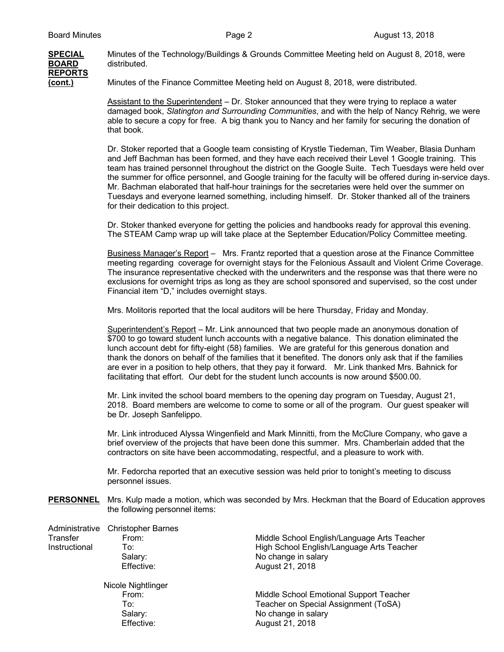

**SPECIAL** Minutes of the Technology/Buildings & Grounds Committee Meeting held on August 8, 2018, were distributed.

**(cont.)** Minutes of the Finance Committee Meeting held on August 8, 2018, were distributed.

Assistant to the Superintendent – Dr. Stoker announced that they were trying to replace a water damaged book, *Slatington and Surrounding Communities*, and with the help of Nancy Rehrig, we were able to secure a copy for free. A big thank you to Nancy and her family for securing the donation of that book.

Dr. Stoker reported that a Google team consisting of Krystle Tiedeman, Tim Weaber, Blasia Dunham and Jeff Bachman has been formed, and they have each received their Level 1 Google training. This team has trained personnel throughout the district on the Google Suite. Tech Tuesdays were held over the summer for office personnel, and Google training for the faculty will be offered during in-service days. Mr. Bachman elaborated that half-hour trainings for the secretaries were held over the summer on Tuesdays and everyone learned something, including himself. Dr. Stoker thanked all of the trainers for their dedication to this project.

Dr. Stoker thanked everyone for getting the policies and handbooks ready for approval this evening. The STEAM Camp wrap up will take place at the September Education/Policy Committee meeting.

Business Manager's Report - Mrs. Frantz reported that a question arose at the Finance Committee meeting regarding coverage for overnight stays for the Felonious Assault and Violent Crime Coverage. The insurance representative checked with the underwriters and the response was that there were no exclusions for overnight trips as long as they are school sponsored and supervised, so the cost under Financial item "D," includes overnight stays.

Mrs. Molitoris reported that the local auditors will be here Thursday, Friday and Monday.

Superintendent's Report – Mr. Link announced that two people made an anonymous donation of \$700 to go toward student lunch accounts with a negative balance. This donation eliminated the lunch account debt for fifty-eight (58) families. We are grateful for this generous donation and thank the donors on behalf of the families that it benefited. The donors only ask that if the families are ever in a position to help others, that they pay it forward. Mr. Link thanked Mrs. Bahnick for facilitating that effort. Our debt for the student lunch accounts is now around \$500.00.

Mr. Link invited the school board members to the opening day program on Tuesday, August 21, 2018. Board members are welcome to come to some or all of the program. Our guest speaker will be Dr. Joseph Sanfelippo.

Mr. Link introduced Alyssa Wingenfield and Mark Minnitti, from the McClure Company, who gave a brief overview of the projects that have been done this summer. Mrs. Chamberlain added that the contractors on site have been accommodating, respectful, and a pleasure to work with.

Mr. Fedorcha reported that an executive session was held prior to tonight's meeting to discuss personnel issues.

**PERSONNEL** Mrs. Kulp made a motion, which was seconded by Mrs. Heckman that the Board of Education approves the following personnel items:

| Administrative<br>Transfer<br>Instructional | <b>Christopher Barnes</b><br>From:<br>To:<br>Salary:<br>Effective: | Middle School English/Language Arts Teacher<br>High School English/Language Arts Teacher<br>No change in salary<br>August 21, 2018 |
|---------------------------------------------|--------------------------------------------------------------------|------------------------------------------------------------------------------------------------------------------------------------|
|                                             | Nicole Nightlinger<br>From:<br>To∶<br>Salary:<br>Effective:        | Middle School Emotional Support Teacher<br>Teacher on Special Assignment (ToSA)<br>No change in salary<br>August 21, 2018          |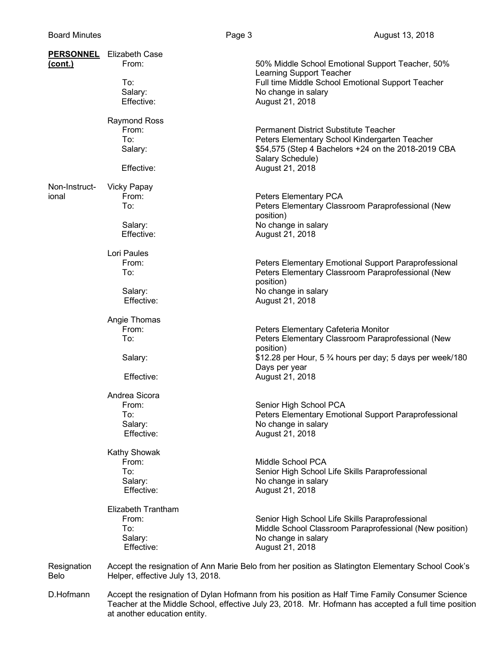|                     | <b>PERSONNEL</b> Elizabeth Case                                                                |                                                                                                           |
|---------------------|------------------------------------------------------------------------------------------------|-----------------------------------------------------------------------------------------------------------|
| <u>(cont.)</u>      | From:                                                                                          | 50% Middle School Emotional Support Teacher, 50%<br>Learning Support Teacher                              |
|                     | To:                                                                                            | Full time Middle School Emotional Support Teacher                                                         |
|                     | Salary:                                                                                        | No change in salary                                                                                       |
|                     | Effective:                                                                                     | August 21, 2018                                                                                           |
|                     | <b>Raymond Ross</b>                                                                            |                                                                                                           |
|                     | From:                                                                                          | <b>Permanent District Substitute Teacher</b>                                                              |
|                     | To:<br>Salary:                                                                                 | Peters Elementary School Kindergarten Teacher<br>\$54,575 (Step 4 Bachelors +24 on the 2018-2019 CBA      |
|                     |                                                                                                | Salary Schedule)                                                                                          |
|                     | Effective:                                                                                     | August 21, 2018                                                                                           |
| Non-Instruct-       | <b>Vicky Papay</b>                                                                             |                                                                                                           |
| ional               | From:                                                                                          | Peters Elementary PCA                                                                                     |
|                     | To:                                                                                            | Peters Elementary Classroom Paraprofessional (New                                                         |
|                     |                                                                                                | position)<br>No change in salary                                                                          |
|                     | Salary:<br>Effective:                                                                          | August 21, 2018                                                                                           |
|                     |                                                                                                |                                                                                                           |
|                     | Lori Paules                                                                                    |                                                                                                           |
|                     | From:<br>To:                                                                                   | Peters Elementary Emotional Support Paraprofessional<br>Peters Elementary Classroom Paraprofessional (New |
|                     |                                                                                                | position)                                                                                                 |
|                     | Salary:                                                                                        | No change in salary                                                                                       |
|                     | Effective:                                                                                     | August 21, 2018                                                                                           |
|                     | Angie Thomas                                                                                   |                                                                                                           |
|                     | From:                                                                                          | Peters Elementary Cafeteria Monitor                                                                       |
|                     | To:                                                                                            | Peters Elementary Classroom Paraprofessional (New                                                         |
|                     | Salary:                                                                                        | position)<br>\$12.28 per Hour, 5 3⁄4 hours per day; 5 days per week/180                                   |
|                     |                                                                                                | Days per year                                                                                             |
|                     | Effective:                                                                                     | August 21, 2018                                                                                           |
|                     | Andrea Sicora                                                                                  |                                                                                                           |
|                     | From:                                                                                          | Senior High School PCA                                                                                    |
|                     | To:                                                                                            | Peters Elementary Emotional Support Paraprofessional                                                      |
|                     | Salary:<br>Effective:                                                                          | No change in salary<br>August 21, 2018                                                                    |
|                     |                                                                                                |                                                                                                           |
|                     | <b>Kathy Showak</b>                                                                            |                                                                                                           |
|                     | From:                                                                                          | Middle School PCA                                                                                         |
|                     | To:<br>Salary:                                                                                 | Senior High School Life Skills Paraprofessional<br>No change in salary                                    |
|                     | Effective:                                                                                     | August 21, 2018                                                                                           |
|                     | Elizabeth Trantham                                                                             |                                                                                                           |
|                     | From:                                                                                          | Senior High School Life Skills Paraprofessional                                                           |
|                     | To:                                                                                            | Middle School Classroom Paraprofessional (New position)                                                   |
|                     | Salary:                                                                                        | No change in salary                                                                                       |
|                     | Effective:                                                                                     | August 21, 2018                                                                                           |
| Resignation<br>Belo | Helper, effective July 13, 2018.                                                               | Accept the resignation of Ann Marie Belo from her position as Slatington Elementary School Cook's         |
| D.Hofmann           | Accept the resignation of Dylan Hofmann from his position as Half Time Family Consumer Science |                                                                                                           |

D.Hofmann Accept the resignation of Dylan Hofmann from his position as Half Time Family Consumer Science Teacher at the Middle School, effective July 23, 2018. Mr. Hofmann has accepted a full time position at another education entity.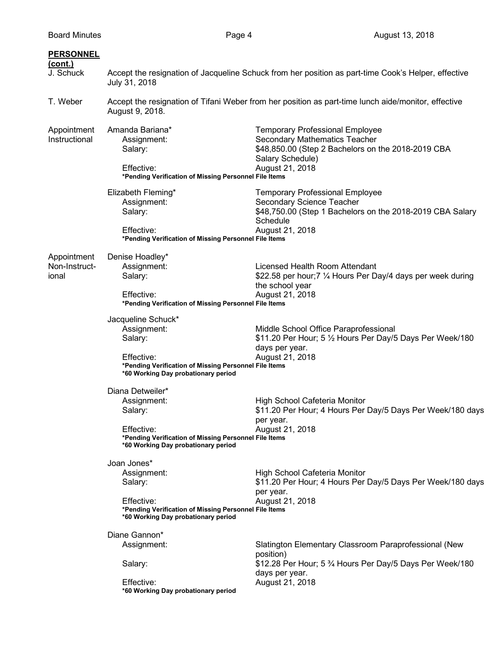| <b>PERSONNEL</b><br><u>(cont.)</u><br>J. Schuck | July 31, 2018                                                                                                                                              | Accept the resignation of Jacqueline Schuck from her position as part-time Cook's Helper, effective                                                                  |
|-------------------------------------------------|------------------------------------------------------------------------------------------------------------------------------------------------------------|----------------------------------------------------------------------------------------------------------------------------------------------------------------------|
| T. Weber                                        | August 9, 2018.                                                                                                                                            | Accept the resignation of Tifani Weber from her position as part-time lunch aide/monitor, effective                                                                  |
| Appointment<br>Instructional                    | Amanda Bariana*<br>Assignment:<br>Salary:<br>Effective:<br>*Pending Verification of Missing Personnel File Items                                           | <b>Temporary Professional Employee</b><br>Secondary Mathematics Teacher<br>\$48,850.00 (Step 2 Bachelors on the 2018-2019 CBA<br>Salary Schedule)<br>August 21, 2018 |
|                                                 | Elizabeth Fleming*<br>Assignment:<br>Salary:<br>Effective:<br>*Pending Verification of Missing Personnel File Items                                        | <b>Temporary Professional Employee</b><br>Secondary Science Teacher<br>\$48,750.00 (Step 1 Bachelors on the 2018-2019 CBA Salary<br>Schedule<br>August 21, 2018      |
| Appointment<br>Non-Instruct-<br>ional           | Denise Hoadley*<br>Assignment:<br>Salary:<br>Effective:<br>*Pending Verification of Missing Personnel File Items                                           | Licensed Health Room Attendant<br>\$22.58 per hour; 7 1/4 Hours Per Day/4 days per week during<br>the school year<br>August 21, 2018                                 |
|                                                 | Jacqueline Schuck*<br>Assignment:<br>Salary:<br>Effective:<br>*Pending Verification of Missing Personnel File Items<br>*60 Working Day probationary period | Middle School Office Paraprofessional<br>\$11.20 Per Hour; 5 1/2 Hours Per Day/5 Days Per Week/180<br>days per year.<br>August 21, 2018                              |
|                                                 | Diana Detweiler*<br>Assignment:<br>Salary:<br>Effective:<br>*Pending Verification of Missing Personnel File Items<br>*60 Working Day probationary period   | High School Cafeteria Monitor<br>\$11.20 Per Hour; 4 Hours Per Day/5 Days Per Week/180 days<br>per year.<br>August 21, 2018                                          |
|                                                 | Joan Jones*<br>Assignment:<br>Salary:<br>Effective:<br>*Pending Verification of Missing Personnel File Items<br>*60 Working Day probationary period        | High School Cafeteria Monitor<br>\$11.20 Per Hour; 4 Hours Per Day/5 Days Per Week/180 days<br>per year.<br>August 21, 2018                                          |
|                                                 | Diane Gannon*<br>Assignment:<br>Salary:<br>Effective:<br>*60 Working Day probationary period                                                               | Slatington Elementary Classroom Paraprofessional (New<br>position)<br>\$12.28 Per Hour; 5 3⁄4 Hours Per Day/5 Days Per Week/180<br>days per year.<br>August 21, 2018 |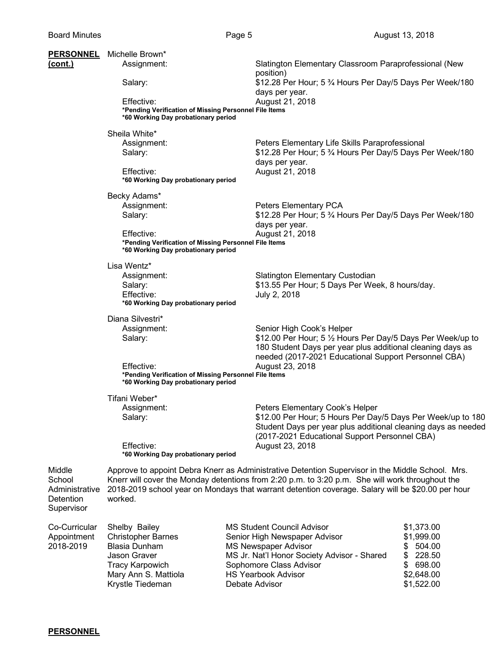| <b>PERSONNEL</b> | Michelle Brown*                                                                              |                                                                                                                                                                                                     |                              |  |  |
|------------------|----------------------------------------------------------------------------------------------|-----------------------------------------------------------------------------------------------------------------------------------------------------------------------------------------------------|------------------------------|--|--|
| <u>(cont.)</u>   | Assignment:                                                                                  | Slatington Elementary Classroom Paraprofessional (New                                                                                                                                               |                              |  |  |
|                  |                                                                                              | position)                                                                                                                                                                                           |                              |  |  |
|                  | Salary:                                                                                      | \$12.28 Per Hour; 5 3⁄4 Hours Per Day/5 Days Per Week/180                                                                                                                                           |                              |  |  |
|                  | Effective:                                                                                   | days per year.<br>August 21, 2018                                                                                                                                                                   |                              |  |  |
|                  | *Pending Verification of Missing Personnel File Items                                        |                                                                                                                                                                                                     |                              |  |  |
|                  | *60 Working Day probationary period                                                          |                                                                                                                                                                                                     |                              |  |  |
|                  | Sheila White*                                                                                |                                                                                                                                                                                                     |                              |  |  |
|                  | Assignment:                                                                                  | Peters Elementary Life Skills Paraprofessional                                                                                                                                                      |                              |  |  |
|                  | Salary:                                                                                      | \$12.28 Per Hour; 5 3⁄4 Hours Per Day/5 Days Per Week/180                                                                                                                                           |                              |  |  |
|                  |                                                                                              | days per year.                                                                                                                                                                                      |                              |  |  |
|                  | Effective:                                                                                   | August 21, 2018                                                                                                                                                                                     |                              |  |  |
|                  | *60 Working Day probationary period                                                          |                                                                                                                                                                                                     |                              |  |  |
|                  | Becky Adams*                                                                                 |                                                                                                                                                                                                     |                              |  |  |
|                  | Assignment:                                                                                  | Peters Elementary PCA                                                                                                                                                                               |                              |  |  |
|                  | Salary:                                                                                      | \$12.28 Per Hour; 5 3⁄4 Hours Per Day/5 Days Per Week/180                                                                                                                                           |                              |  |  |
|                  | Effective:                                                                                   | days per year.                                                                                                                                                                                      |                              |  |  |
|                  | *Pending Verification of Missing Personnel File Items                                        | August 21, 2018                                                                                                                                                                                     |                              |  |  |
|                  | *60 Working Day probationary period                                                          |                                                                                                                                                                                                     |                              |  |  |
|                  | Lisa Wentz*                                                                                  |                                                                                                                                                                                                     |                              |  |  |
|                  | Assignment:                                                                                  | Slatington Elementary Custodian                                                                                                                                                                     |                              |  |  |
|                  | Salary:                                                                                      | \$13.55 Per Hour; 5 Days Per Week, 8 hours/day.                                                                                                                                                     |                              |  |  |
|                  | Effective:                                                                                   | July 2, 2018                                                                                                                                                                                        |                              |  |  |
|                  | *60 Working Day probationary period                                                          |                                                                                                                                                                                                     |                              |  |  |
|                  | Diana Silvestri*                                                                             |                                                                                                                                                                                                     |                              |  |  |
|                  | Assignment:                                                                                  | Senior High Cook's Helper                                                                                                                                                                           |                              |  |  |
|                  | Salary:                                                                                      | \$12.00 Per Hour; 5 1/2 Hours Per Day/5 Days Per Week/up to<br>180 Student Days per year plus additional cleaning days as                                                                           |                              |  |  |
|                  |                                                                                              | needed (2017-2021 Educational Support Personnel CBA)                                                                                                                                                |                              |  |  |
|                  | Effective:                                                                                   | August 23, 2018                                                                                                                                                                                     |                              |  |  |
|                  | *Pending Verification of Missing Personnel File Items<br>*60 Working Day probationary period |                                                                                                                                                                                                     |                              |  |  |
|                  | Tifani Weber*                                                                                |                                                                                                                                                                                                     |                              |  |  |
|                  | Assignment:                                                                                  | Peters Elementary Cook's Helper                                                                                                                                                                     |                              |  |  |
|                  | Salary:                                                                                      | \$12.00 Per Hour; 5 Hours Per Day/5 Days Per Week/up to 180                                                                                                                                         |                              |  |  |
|                  |                                                                                              | Student Days per year plus additional cleaning days as needed                                                                                                                                       |                              |  |  |
|                  | Effective:                                                                                   | (2017-2021 Educational Support Personnel CBA)<br>August 23, 2018                                                                                                                                    |                              |  |  |
|                  | *60 Working Day probationary period                                                          |                                                                                                                                                                                                     |                              |  |  |
|                  |                                                                                              |                                                                                                                                                                                                     |                              |  |  |
| Middle<br>School |                                                                                              | Approve to appoint Debra Knerr as Administrative Detention Supervisor in the Middle School. Mrs.<br>Knerr will cover the Monday detentions from 2:20 p.m. to 3:20 p.m. She will work throughout the |                              |  |  |
| Administrative   |                                                                                              | 2018-2019 school year on Mondays that warrant detention coverage. Salary will be \$20.00 per hour                                                                                                   |                              |  |  |
| <b>Detention</b> | worked.                                                                                      |                                                                                                                                                                                                     |                              |  |  |
| Supervisor       |                                                                                              |                                                                                                                                                                                                     |                              |  |  |
|                  |                                                                                              |                                                                                                                                                                                                     |                              |  |  |
| Co-Curricular    | Shelby Bailey                                                                                | <b>MS Student Council Advisor</b>                                                                                                                                                                   | \$1,373.00                   |  |  |
| Appointment      | <b>Christopher Barnes</b>                                                                    | Senior High Newspaper Advisor                                                                                                                                                                       | \$1,999.00                   |  |  |
| 2018-2019        | <b>Blasia Dunham</b><br>Jason Graver                                                         | <b>MS Newspaper Advisor</b><br>MS Jr. Nat'l Honor Society Advisor - Shared                                                                                                                          | 504.00<br>\$<br>\$<br>228.50 |  |  |
|                  | <b>Tracy Karpowich</b>                                                                       | Sophomore Class Advisor                                                                                                                                                                             | \$<br>698.00                 |  |  |
|                  | Mary Ann S. Mattiola                                                                         | <b>HS Yearbook Advisor</b>                                                                                                                                                                          | \$2,648.00                   |  |  |
|                  | Krystle Tiedeman                                                                             | Debate Advisor                                                                                                                                                                                      | \$1,522.00                   |  |  |

## **PERSONNEL**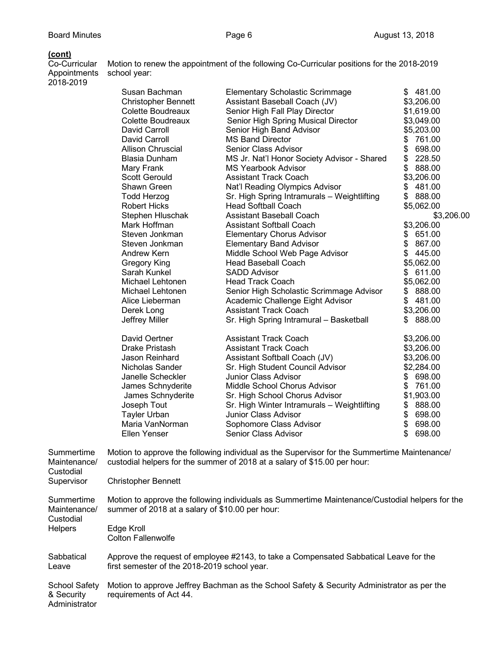Motion to renew the appointment of the following Co-Curricular positions for the 2018-2019

**(cont)** Appointments school year: 2018-2019

| צו וס-בט וש |                            |                                             |              |
|-------------|----------------------------|---------------------------------------------|--------------|
|             | Susan Bachman              | <b>Elementary Scholastic Scrimmage</b>      | \$481.00     |
|             | <b>Christopher Bennett</b> | Assistant Baseball Coach (JV)               | \$3,206.00   |
|             | Colette Boudreaux          | Senior High Fall Play Director              | \$1,619.00   |
|             | Colette Boudreaux          | Senior High Spring Musical Director         | \$3,049.00   |
|             | David Carroll              | Senior High Band Advisor                    | \$5,203.00   |
|             | David Carroll              | <b>MS Band Director</b>                     | 761.00<br>\$ |
|             | <b>Allison Chruscial</b>   | Senior Class Advisor                        | \$<br>698.00 |
|             | Blasia Dunham              | MS Jr. Nat'l Honor Society Advisor - Shared | \$<br>228.50 |
|             | Mary Frank                 | <b>MS Yearbook Advisor</b>                  | \$<br>888.00 |
|             | <b>Scott Gerould</b>       | <b>Assistant Track Coach</b>                | \$3,206.00   |
|             | Shawn Green                | Nat'l Reading Olympics Advisor              | \$<br>481.00 |
|             | <b>Todd Herzog</b>         | Sr. High Spring Intramurals - Weightlifting | \$<br>888.00 |
|             | <b>Robert Hicks</b>        | <b>Head Softball Coach</b>                  | \$5,062.00   |
|             | Stephen Hluschak           | <b>Assistant Baseball Coach</b>             | \$3,206.00   |
|             | Mark Hoffman               | <b>Assistant Softball Coach</b>             | \$3,206.00   |
|             | Steven Jonkman             | <b>Elementary Chorus Advisor</b>            | \$<br>651.00 |
|             | Steven Jonkman             | <b>Elementary Band Advisor</b>              | \$<br>867.00 |
|             | Andrew Kern                | Middle School Web Page Advisor              | \$<br>445.00 |
|             | <b>Gregory King</b>        | <b>Head Baseball Coach</b>                  | \$5,062.00   |
|             | Sarah Kunkel               | <b>SADD Advisor</b>                         | 611.00<br>\$ |
|             | Michael Lehtonen           | <b>Head Track Coach</b>                     | \$5,062.00   |
|             | Michael Lehtonen           | Senior High Scholastic Scrimmage Advisor    | 888.00<br>\$ |
|             | Alice Lieberman            | Academic Challenge Eight Advisor            | \$<br>481.00 |
|             | Derek Long                 | <b>Assistant Track Coach</b>                | \$3,206.00   |
|             | Jeffrey Miller             | Sr. High Spring Intramural - Basketball     | 888.00<br>S. |
|             | David Oertner              | <b>Assistant Track Coach</b>                | \$3,206.00   |
|             | Drake Pristash             | <b>Assistant Track Coach</b>                | \$3,206.00   |
|             | Jason Reinhard             | Assistant Softball Coach (JV)               | \$3,206.00   |
|             | Nicholas Sander            | Sr. High Student Council Advisor            | \$2,284.00   |
|             | Janelle Scheckler          | <b>Junior Class Advisor</b>                 | 698.00<br>\$ |
|             | James Schnyderite          | Middle School Chorus Advisor                | \$<br>761.00 |
|             | James Schnyderite          | Sr. High School Chorus Advisor              | \$1,903.00   |
|             | Joseph Tout                | Sr. High Winter Intramurals - Weightlifting | 888.00<br>\$ |
|             | Tayler Urban               | <b>Junior Class Advisor</b>                 | \$<br>698.00 |
|             | Maria VanNorman            | Sophomore Class Advisor                     | \$<br>698.00 |
|             | Ellen Yenser               | Senior Class Advisor                        | 698.00       |
|             |                            |                                             |              |

Summertime Motion to approve the following individual as the Supervisor for the Summertime Maintenance/<br>Maintenance/ custodial helpers for the summer of 2018 at a salary of \$15.00 per hour: custodial helpers for the summer of 2018 at a salary of \$15.00 per hour: **Custodial** Supervisor Christopher Bennett Summertime Motion to approve the following individuals as Summertime Maintenance/Custodial helpers for the Maintenance/ summer of 2018 at a salary of \$10.00 per hour: Custodial Helpers Edge Kroll Colton Fallenwolfe Sabbatical Approve the request of employee #2143, to take a Compensated Sabbatical Leave for the Leave first semester of the 2018-2019 school year. School Safety Motion to approve Jeffrey Bachman as the School Safety & Security Administrator as per the & Security requirements of Act 44. requirements of Act 44. **Administrator**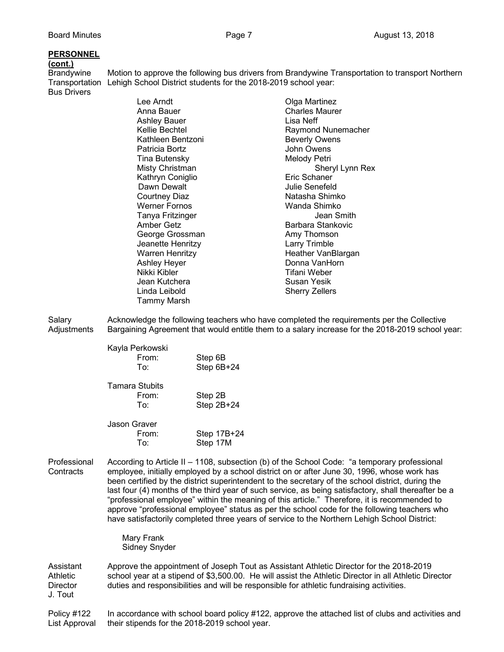## **PERSONNEL**

**(cont.)**

Brandywine Motion to approve the following bus drivers from Brandywine Transportation to transport Northern Transportation Lehigh School District students for the 2018-2019 school year: Bus Drivers

| Lee Arndt<br>Anna Bauer<br>Ashley Bauer<br>Kellie Bechtel<br>Kathleen Bentzoni | Olga Martinez<br><b>Charles Maurer</b><br>Lisa Neff<br>Raymond Nunemacher<br><b>Beverly Owens</b><br>John Owens |
|--------------------------------------------------------------------------------|-----------------------------------------------------------------------------------------------------------------|
|                                                                                | Melody Petri                                                                                                    |
| Misty Christman                                                                | Sheryl Lynn Rex                                                                                                 |
| Kathryn Coniglio                                                               | Eric Schaner                                                                                                    |
| Dawn Dewalt                                                                    | Julie Senefeld                                                                                                  |
| <b>Courtney Diaz</b>                                                           | Natasha Shimko                                                                                                  |
| <b>Werner Fornos</b>                                                           | Wanda Shimko                                                                                                    |
| Tanya Fritzinger                                                               | Jean Smith                                                                                                      |
| Amber Getz                                                                     | Barbara Stankovic                                                                                               |
| George Grossman                                                                | Amy Thomson                                                                                                     |
| Jeanette Henritzy                                                              | Larry Trimble                                                                                                   |
| <b>Warren Henritzy</b>                                                         | Heather VanBlargan                                                                                              |
| <b>Ashley Heyer</b>                                                            | Donna VanHorn                                                                                                   |
| Nikki Kibler                                                                   | Tifani Weber                                                                                                    |
| Jean Kutchera                                                                  | Susan Yesik                                                                                                     |
| Linda Leibold                                                                  | <b>Sherry Zellers</b>                                                                                           |
| Tammy Marsh                                                                    |                                                                                                                 |
|                                                                                | Patricia Bortz<br>Tina Butensky                                                                                 |

Salary **Acknowledge the following teachers who have completed the requirements per the Collective** Adjustments Bargaining Agreement that would entitle them to a salary increase for the 2018-2019 school year:

| Kayla Perkowski<br>From:<br>To.       | Step 6B<br>Step 6B+24 |
|---------------------------------------|-----------------------|
| <b>Tamara Stubits</b><br>From:<br>To. | Step 2B<br>Step 2B+24 |
| Jason Graver                          |                       |

| From: | Step 17B+24 |
|-------|-------------|
| To:   | Step 17M    |

Professional According to Article II – 1108, subsection (b) of the School Code: "a temporary professional Contracts employee, initially employed by a school district on or after June 30, 1996, whose work has been certified by the district superintendent to the secretary of the school district, during the last four (4) months of the third year of such service, as being satisfactory, shall thereafter be a "professional employee" within the meaning of this article." Therefore, it is recommended to approve "professional employee" status as per the school code for the following teachers who have satisfactorily completed three years of service to the Northern Lehigh School District:

> Mary Frank Sidney Snyder

Assistant Approve the appointment of Joseph Tout as Assistant Athletic Director for the 2018-2019 Athletic school year at a stipend of \$3,500.00. He will assist the Athletic Director in all Athletic Director Director duties and responsibilities and will be responsible for athletic fundraising activities. J. Tout

Policy #122 In accordance with school board policy #122, approve the attached list of clubs and activities and List Approval their stipends for the 2018-2019 school year.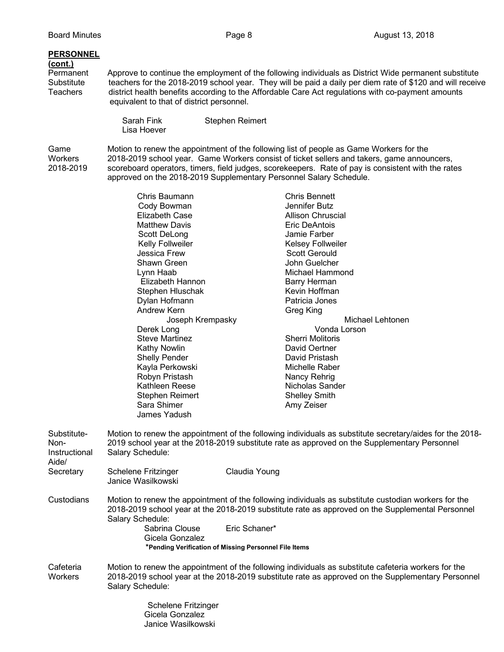## **PERSONNEL**

# **(cont.)**

Approve to continue the employment of the following individuals as District Wide permanent substitute Substitute teachers for the 2018-2019 school year. They will be paid a daily per diem rate of \$120 and will receive<br>Teachers district health benefits according to the Affordable Care Act regulations with co-payment amounts district health benefits according to the Affordable Care Act regulations with co-payment amounts equivalent to that of district personnel.

> Sarah Fink Stephen Reimert Lisa Hoever

> > Gicela Gonzalez Janice Wasilkowski

Game Motion to renew the appointment of the following list of people as Game Workers for the Workers<br>Workers 2018-2019 school year. Game Workers consist of ticket sellers and takers, game annou 2018-2019 school year. Game Workers consist of ticket sellers and takers, game announcers, 2018-2019 scoreboard operators, timers, field judges, scorekeepers. Rate of pay is consistent with the rates approved on the 2018-2019 Supplementary Personnel Salary Schedule.

|               | Chris Baumann              | <b>Chris Bennett</b>                                                                                     |
|---------------|----------------------------|----------------------------------------------------------------------------------------------------------|
|               | Cody Bowman                | Jennifer Butz                                                                                            |
|               | Elizabeth Case             | Allison Chruscial                                                                                        |
|               | <b>Matthew Davis</b>       | Eric DeAntois                                                                                            |
|               | Scott DeLong               | Jamie Farber                                                                                             |
|               | Kelly Follweiler           | <b>Kelsey Follweiler</b>                                                                                 |
|               | Jessica Frew               | <b>Scott Gerould</b>                                                                                     |
|               | Shawn Green                | John Guelcher                                                                                            |
|               | Lynn Haab                  | Michael Hammond                                                                                          |
|               | Elizabeth Hannon           | <b>Barry Herman</b>                                                                                      |
|               | Stephen Hluschak           | Kevin Hoffman                                                                                            |
|               | Dylan Hofmann              | Patricia Jones                                                                                           |
|               | Andrew Kern                | Greg King                                                                                                |
|               | Joseph Krempasky           | Michael Lehtonen                                                                                         |
|               | Derek Long                 | Vonda Lorson                                                                                             |
|               | <b>Steve Martinez</b>      | <b>Sherri Molitoris</b>                                                                                  |
|               | <b>Kathy Nowlin</b>        | David Oertner                                                                                            |
|               | <b>Shelly Pender</b>       | David Pristash                                                                                           |
|               | Kayla Perkowski            | Michelle Raber                                                                                           |
|               | Robyn Pristash             | Nancy Rehrig                                                                                             |
|               | Kathleen Reese             | Nicholas Sander                                                                                          |
|               | <b>Stephen Reimert</b>     | <b>Shelley Smith</b>                                                                                     |
|               | Sara Shimer                | Amy Zeiser                                                                                               |
|               | James Yadush               |                                                                                                          |
| Substitute-   |                            | Motion to renew the appointment of the following individuals as substitute secretary/aides for the 2018- |
| Non-          |                            | 2019 school year at the 2018-2019 substitute rate as approved on the Supplementary Personnel             |
| Instructional | Salary Schedule:           |                                                                                                          |
| Aide/         |                            |                                                                                                          |
| Secretary     | <b>Schelene Fritzinger</b> | Claudia Young                                                                                            |
|               | Janice Wasilkowski         |                                                                                                          |
| Custodians    |                            | Motion to renew the appointment of the following individuals as substitute custodian workers for the     |
|               |                            | 2018-2019 school year at the 2018-2019 substitute rate as approved on the Supplemental Personnel         |
|               | Salary Schedule:           |                                                                                                          |
|               | Sabrina Clouse             | Eric Schaner*                                                                                            |
|               | Gicela Gonzalez            |                                                                                                          |
|               |                            | *Pending Verification of Missing Personnel File Items                                                    |
|               |                            |                                                                                                          |
| Cafeteria     |                            | Motion to renew the appointment of the following individuals as substitute cafeteria workers for the     |
| Workers       | Salary Schedule:           | 2018-2019 school year at the 2018-2019 substitute rate as approved on the Supplementary Personnel        |
|               |                            |                                                                                                          |
|               | Schelene Fritzinger        |                                                                                                          |
|               |                            |                                                                                                          |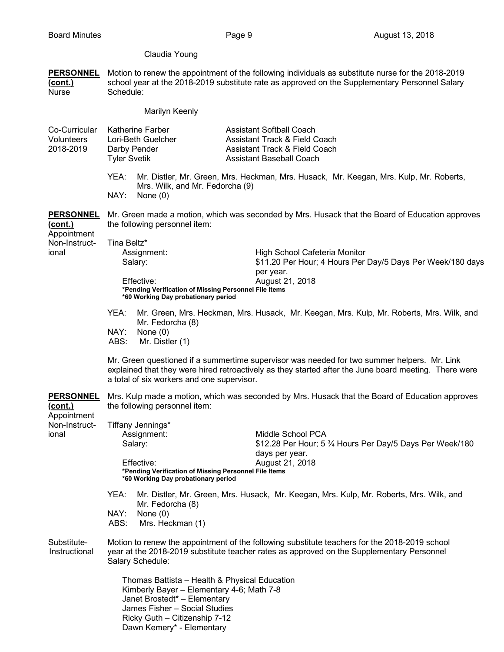## Claudia Young

**PERSONNEL** Motion to renew the appointment of the following individuals as substitute nurse for the 2018-2019 **(cont.)** school year at the 2018-2019 substitute rate as approved on the Supplementary Personnel Salary Nurse Schedule:

| Marilyn Keenly |  |
|----------------|--|
|----------------|--|

| Co-Curricular<br><b>Volunteers</b><br>2018-2019   | <b>Tyler Svetik</b>                                                                                                              | <b>Katherine Farber</b><br>Lori-Beth Guelcher<br>Darby Pender                                                                                                                                                             |  | <b>Assistant Softball Coach</b><br><b>Assistant Track &amp; Field Coach</b><br><b>Assistant Track &amp; Field Coach</b><br>Assistant Baseball Coach                                                  |
|---------------------------------------------------|----------------------------------------------------------------------------------------------------------------------------------|---------------------------------------------------------------------------------------------------------------------------------------------------------------------------------------------------------------------------|--|------------------------------------------------------------------------------------------------------------------------------------------------------------------------------------------------------|
|                                                   | YEA:<br>NAY:                                                                                                                     | Mrs. Wilk, and Mr. Fedorcha (9)<br>None $(0)$                                                                                                                                                                             |  | Mr. Distler, Mr. Green, Mrs. Heckman, Mrs. Husack, Mr. Keegan, Mrs. Kulp, Mr. Roberts,                                                                                                               |
| <b>PERSONNEL</b><br><u>(cont.)</u>                |                                                                                                                                  | the following personnel item:                                                                                                                                                                                             |  | Mr. Green made a motion, which was seconded by Mrs. Husack that the Board of Education approves                                                                                                      |
| Appointment<br>Non-Instruct-<br>ional             | Tina Beltz*                                                                                                                      | Assignment:<br>Salary:<br>Effective:<br>*Pending Verification of Missing Personnel File Items<br>*60 Working Day probationary period                                                                                      |  | High School Cafeteria Monitor<br>\$11.20 Per Hour; 4 Hours Per Day/5 Days Per Week/180 days<br>per year.<br>August 21, 2018                                                                          |
|                                                   | YEA:<br>NAY:<br>ABS:                                                                                                             | Mr. Fedorcha (8)<br>None $(0)$<br>Mr. Distler (1)                                                                                                                                                                         |  | Mr. Green, Mrs. Heckman, Mrs. Husack, Mr. Keegan, Mrs. Kulp, Mr. Roberts, Mrs. Wilk, and                                                                                                             |
|                                                   |                                                                                                                                  | a total of six workers and one supervisor.                                                                                                                                                                                |  | Mr. Green questioned if a summertime supervisor was needed for two summer helpers. Mr. Link<br>explained that they were hired retroactively as they started after the June board meeting. There were |
| <b>PERSONNEL</b><br><u>(cont.)</u><br>Appointment | Mrs. Kulp made a motion, which was seconded by Mrs. Husack that the Board of Education approves<br>the following personnel item: |                                                                                                                                                                                                                           |  |                                                                                                                                                                                                      |
| Non-Instruct-<br>ional                            |                                                                                                                                  | Tiffany Jennings*<br>Assignment:<br>Salary:<br>Effective:<br>*Pending Verification of Missing Personnel File Items<br>*60 Working Day probationary period                                                                 |  | Middle School PCA<br>\$12.28 Per Hour; 5 3⁄4 Hours Per Day/5 Days Per Week/180<br>days per year.<br>August 21, 2018                                                                                  |
|                                                   | YEA:<br>NAY:<br>ABS:                                                                                                             | Mr. Fedorcha (8)<br>None $(0)$<br>Mrs. Heckman (1)                                                                                                                                                                        |  | Mr. Distler, Mr. Green, Mrs. Husack, Mr. Keegan, Mrs. Kulp, Mr. Roberts, Mrs. Wilk, and                                                                                                              |
| Substitute-<br>Instructional                      |                                                                                                                                  | Salary Schedule:                                                                                                                                                                                                          |  | Motion to renew the appointment of the following substitute teachers for the 2018-2019 school<br>year at the 2018-2019 substitute teacher rates as approved on the Supplementary Personnel           |
|                                                   |                                                                                                                                  | Thomas Battista - Health & Physical Education<br>Kimberly Bayer - Elementary 4-6; Math 7-8<br>Janet Brostedt* - Elementary<br>James Fisher - Social Studies<br>Ricky Guth - Citizenship 7-12<br>Dawn Kemery* - Elementary |  |                                                                                                                                                                                                      |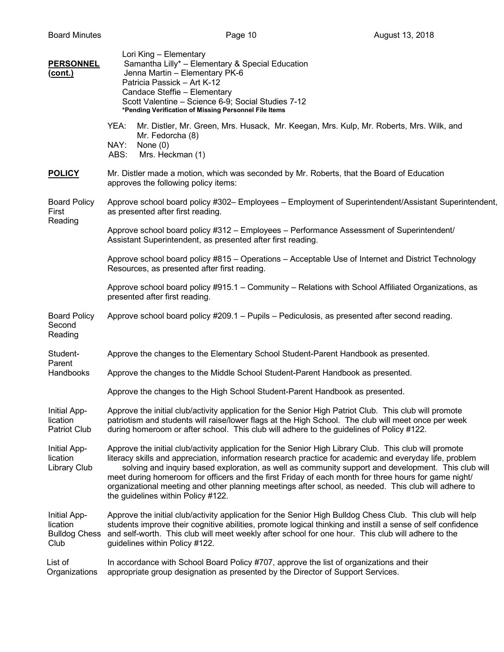| <b>PERSONNEL</b><br><u>(cont.)</u>                       | Lori King - Elementary<br>Samantha Lilly* - Elementary & Special Education<br>Jenna Martin - Elementary PK-6<br>Patricia Passick - Art K-12<br>Candace Steffie - Elementary<br>Scott Valentine - Science 6-9; Social Studies 7-12<br>*Pending Verification of Missing Personnel File Items                                                                                                                                                                                                                                                                                     |
|----------------------------------------------------------|--------------------------------------------------------------------------------------------------------------------------------------------------------------------------------------------------------------------------------------------------------------------------------------------------------------------------------------------------------------------------------------------------------------------------------------------------------------------------------------------------------------------------------------------------------------------------------|
|                                                          | YEA:<br>Mr. Distler, Mr. Green, Mrs. Husack, Mr. Keegan, Mrs. Kulp, Mr. Roberts, Mrs. Wilk, and<br>Mr. Fedorcha (8)<br>NAY:<br>None $(0)$<br>Mrs. Heckman (1)<br>ABS:                                                                                                                                                                                                                                                                                                                                                                                                          |
| <b>POLICY</b>                                            | Mr. Distler made a motion, which was seconded by Mr. Roberts, that the Board of Education<br>approves the following policy items:                                                                                                                                                                                                                                                                                                                                                                                                                                              |
| <b>Board Policy</b><br>First                             | Approve school board policy #302- Employees - Employment of Superintendent/Assistant Superintendent,<br>as presented after first reading.                                                                                                                                                                                                                                                                                                                                                                                                                                      |
| Reading                                                  | Approve school board policy #312 - Employees - Performance Assessment of Superintendent/<br>Assistant Superintendent, as presented after first reading.                                                                                                                                                                                                                                                                                                                                                                                                                        |
|                                                          | Approve school board policy #815 - Operations - Acceptable Use of Internet and District Technology<br>Resources, as presented after first reading.                                                                                                                                                                                                                                                                                                                                                                                                                             |
|                                                          | Approve school board policy #915.1 - Community - Relations with School Affiliated Organizations, as<br>presented after first reading.                                                                                                                                                                                                                                                                                                                                                                                                                                          |
| <b>Board Policy</b><br>Second<br>Reading                 | Approve school board policy #209.1 - Pupils - Pediculosis, as presented after second reading.                                                                                                                                                                                                                                                                                                                                                                                                                                                                                  |
| Student-                                                 | Approve the changes to the Elementary School Student-Parent Handbook as presented.                                                                                                                                                                                                                                                                                                                                                                                                                                                                                             |
| Parent<br>Handbooks                                      | Approve the changes to the Middle School Student-Parent Handbook as presented.                                                                                                                                                                                                                                                                                                                                                                                                                                                                                                 |
|                                                          | Approve the changes to the High School Student-Parent Handbook as presented.                                                                                                                                                                                                                                                                                                                                                                                                                                                                                                   |
| Initial App-<br>lication<br><b>Patriot Club</b>          | Approve the initial club/activity application for the Senior High Patriot Club. This club will promote<br>patriotism and students will raise/lower flags at the High School. The club will meet once per week<br>during homeroom or after school. This club will adhere to the guidelines of Policy #122.                                                                                                                                                                                                                                                                      |
| Initial App-<br>lication<br><b>Library Club</b>          | Approve the initial club/activity application for the Senior High Library Club. This club will promote<br>literacy skills and appreciation, information research practice for academic and everyday life, problem<br>solving and inquiry based exploration, as well as community support and development. This club will<br>meet during homeroom for officers and the first Friday of each month for three hours for game night/<br>organizational meeting and other planning meetings after school, as needed. This club will adhere to<br>the guidelines within Policy #122. |
| Initial App-<br>lication<br><b>Bulldog Chess</b><br>Club | Approve the initial club/activity application for the Senior High Bulldog Chess Club. This club will help<br>students improve their cognitive abilities, promote logical thinking and instill a sense of self confidence<br>and self-worth. This club will meet weekly after school for one hour. This club will adhere to the<br>guidelines within Policy #122.                                                                                                                                                                                                               |
| List of<br>Organizations                                 | In accordance with School Board Policy #707, approve the list of organizations and their<br>appropriate group designation as presented by the Director of Support Services.                                                                                                                                                                                                                                                                                                                                                                                                    |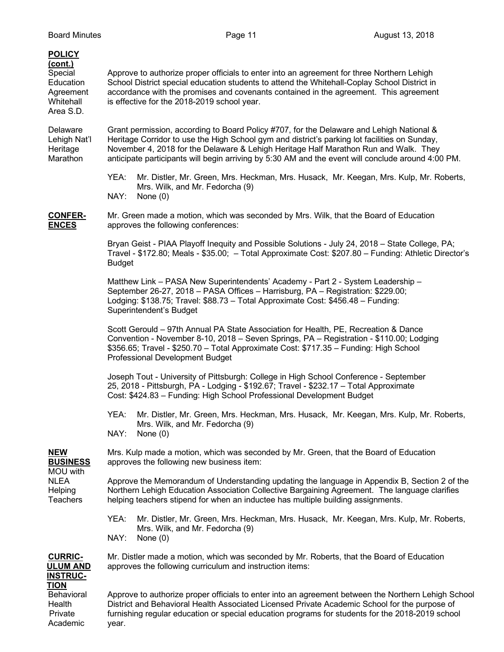| <b>POLICY</b><br><u>(cont.)</u><br>Special<br>Education<br>Agreement<br>Whitehall<br>Area S.D. | Approve to authorize proper officials to enter into an agreement for three Northern Lehigh<br>School District special education students to attend the Whitehall-Coplay School District in<br>accordance with the promises and covenants contained in the agreement. This agreement<br>is effective for the 2018-2019 school year.                                                      |  |  |  |  |
|------------------------------------------------------------------------------------------------|-----------------------------------------------------------------------------------------------------------------------------------------------------------------------------------------------------------------------------------------------------------------------------------------------------------------------------------------------------------------------------------------|--|--|--|--|
| Delaware<br>Lehigh Nat'l<br>Heritage<br>Marathon                                               | Grant permission, according to Board Policy #707, for the Delaware and Lehigh National &<br>Heritage Corridor to use the High School gym and district's parking lot facilities on Sunday,<br>November 4, 2018 for the Delaware & Lehigh Heritage Half Marathon Run and Walk. They<br>anticipate participants will begin arriving by 5:30 AM and the event will conclude around 4:00 PM. |  |  |  |  |
|                                                                                                | YEA:<br>Mr. Distler, Mr. Green, Mrs. Heckman, Mrs. Husack, Mr. Keegan, Mrs. Kulp, Mr. Roberts,<br>Mrs. Wilk, and Mr. Fedorcha (9)<br>NAY:<br>None $(0)$                                                                                                                                                                                                                                 |  |  |  |  |
| <b>CONFER-</b><br><b>ENCES</b>                                                                 | Mr. Green made a motion, which was seconded by Mrs. Wilk, that the Board of Education<br>approves the following conferences:                                                                                                                                                                                                                                                            |  |  |  |  |
|                                                                                                | Bryan Geist - PIAA Playoff Inequity and Possible Solutions - July 24, 2018 - State College, PA;<br>Travel - \$172.80; Meals - \$35.00; - Total Approximate Cost: \$207.80 - Funding: Athletic Director's<br><b>Budget</b>                                                                                                                                                               |  |  |  |  |
|                                                                                                | Matthew Link - PASA New Superintendents' Academy - Part 2 - System Leadership -<br>September 26-27, 2018 - PASA Offices - Harrisburg, PA - Registration: \$229.00;<br>Lodging: \$138.75; Travel: \$88.73 - Total Approximate Cost: \$456.48 - Funding:<br>Superintendent's Budget                                                                                                       |  |  |  |  |
|                                                                                                | Scott Gerould - 97th Annual PA State Association for Health, PE, Recreation & Dance<br>Convention - November 8-10, 2018 - Seven Springs, PA - Registration - \$110.00; Lodging<br>\$356.65; Travel - \$250.70 - Total Approximate Cost: \$717.35 - Funding: High School<br>Professional Development Budget                                                                              |  |  |  |  |
|                                                                                                | Joseph Tout - University of Pittsburgh: College in High School Conference - September<br>25, 2018 - Pittsburgh, PA - Lodging - \$192.67; Travel - \$232.17 - Total Approximate<br>Cost: \$424.83 - Funding: High School Professional Development Budget                                                                                                                                 |  |  |  |  |
|                                                                                                | YEA:<br>Mr. Distler, Mr. Green, Mrs. Heckman, Mrs. Husack, Mr. Keegan, Mrs. Kulp, Mr. Roberts,<br>Mrs. Wilk, and Mr. Fedorcha (9)<br>NAY:<br>None $(0)$                                                                                                                                                                                                                                 |  |  |  |  |
| <b>NEW</b><br><b>BUSINESS</b><br>MOU with<br><b>NLEA</b><br>Helping<br><b>Teachers</b>         | Mrs. Kulp made a motion, which was seconded by Mr. Green, that the Board of Education<br>approves the following new business item:                                                                                                                                                                                                                                                      |  |  |  |  |
|                                                                                                | Approve the Memorandum of Understanding updating the language in Appendix B, Section 2 of the<br>Northern Lehigh Education Association Collective Bargaining Agreement. The language clarifies<br>helping teachers stipend for when an inductee has multiple building assignments.                                                                                                      |  |  |  |  |
|                                                                                                | YEA:<br>Mr. Distler, Mr. Green, Mrs. Heckman, Mrs. Husack, Mr. Keegan, Mrs. Kulp, Mr. Roberts,<br>Mrs. Wilk, and Mr. Fedorcha (9)<br>NAY:<br>None $(0)$                                                                                                                                                                                                                                 |  |  |  |  |
| <b>CURRIC-</b><br><b>ULUM AND</b><br><b>INSTRUC-</b>                                           | Mr. Distler made a motion, which was seconded by Mr. Roberts, that the Board of Education<br>approves the following curriculum and instruction items:                                                                                                                                                                                                                                   |  |  |  |  |
| <b>TION</b><br>Behavioral<br>Health<br>Private<br>Academic                                     | Approve to authorize proper officials to enter into an agreement between the Northern Lehigh School<br>District and Behavioral Health Associated Licensed Private Academic School for the purpose of<br>furnishing regular education or special education programs for students for the 2018-2019 school<br>year.                                                                       |  |  |  |  |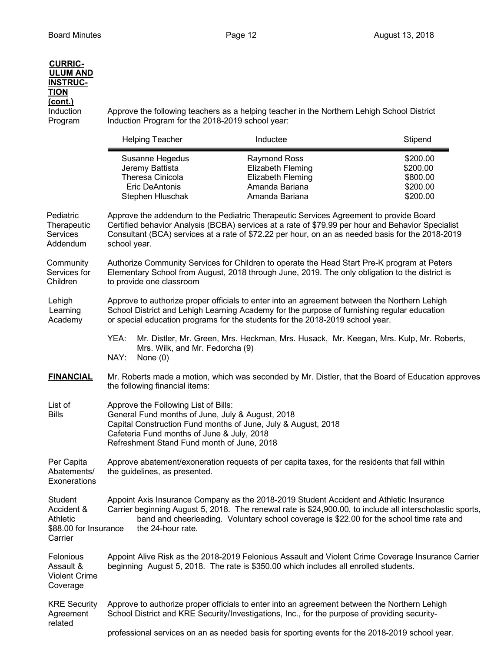| <b>CURRIC-</b><br><b>ULUM AND</b><br><b>INSTRUC-</b><br><b>TION</b><br><u>(cont.)</u><br>Induction<br>Program |                                                                                                                                                                                                                                                                                                                | Induction Program for the 2018-2019 school year:                                             | Approve the following teachers as a helping teacher in the Northern Lehigh School District                                                                                                                                                                                                       |                                                          |  |  |
|---------------------------------------------------------------------------------------------------------------|----------------------------------------------------------------------------------------------------------------------------------------------------------------------------------------------------------------------------------------------------------------------------------------------------------------|----------------------------------------------------------------------------------------------|--------------------------------------------------------------------------------------------------------------------------------------------------------------------------------------------------------------------------------------------------------------------------------------------------|----------------------------------------------------------|--|--|
|                                                                                                               |                                                                                                                                                                                                                                                                                                                | <b>Helping Teacher</b>                                                                       | Inductee                                                                                                                                                                                                                                                                                         | Stipend                                                  |  |  |
|                                                                                                               |                                                                                                                                                                                                                                                                                                                | Susanne Hegedus<br>Jeremy Battista<br>Theresa Cinicola<br>Eric DeAntonis<br>Stephen Hluschak | <b>Raymond Ross</b><br>Elizabeth Fleming<br>Elizabeth Fleming<br>Amanda Bariana<br>Amanda Bariana                                                                                                                                                                                                | \$200.00<br>\$200.00<br>\$800.00<br>\$200.00<br>\$200.00 |  |  |
| Pediatric<br>Therapeutic<br>Services<br>Addendum                                                              | Approve the addendum to the Pediatric Therapeutic Services Agreement to provide Board<br>Certified behavior Analysis (BCBA) services at a rate of \$79.99 per hour and Behavior Specialist<br>Consultant (BCA) services at a rate of \$72.22 per hour, on an as needed basis for the 2018-2019<br>school year. |                                                                                              |                                                                                                                                                                                                                                                                                                  |                                                          |  |  |
| Community<br>Services for<br>Children                                                                         | Authorize Community Services for Children to operate the Head Start Pre-K program at Peters<br>Elementary School from August, 2018 through June, 2019. The only obligation to the district is<br>to provide one classroom                                                                                      |                                                                                              |                                                                                                                                                                                                                                                                                                  |                                                          |  |  |
| Lehigh<br>Learning<br>Academy                                                                                 | Approve to authorize proper officials to enter into an agreement between the Northern Lehigh<br>School District and Lehigh Learning Academy for the purpose of furnishing regular education<br>or special education programs for the students for the 2018-2019 school year.                                   |                                                                                              |                                                                                                                                                                                                                                                                                                  |                                                          |  |  |
|                                                                                                               | YEA:<br>NAY:                                                                                                                                                                                                                                                                                                   | Mrs. Wilk, and Mr. Fedorcha (9)<br>None $(0)$                                                | Mr. Distler, Mr. Green, Mrs. Heckman, Mrs. Husack, Mr. Keegan, Mrs. Kulp, Mr. Roberts,                                                                                                                                                                                                           |                                                          |  |  |
| <b>FINANCIAL</b>                                                                                              | Mr. Roberts made a motion, which was seconded by Mr. Distler, that the Board of Education approves<br>the following financial items:                                                                                                                                                                           |                                                                                              |                                                                                                                                                                                                                                                                                                  |                                                          |  |  |
| List of<br><b>Bills</b>                                                                                       | Approve the Following List of Bills:<br>General Fund months of June, July & August, 2018<br>Capital Construction Fund months of June, July & August, 2018<br>Cafeteria Fund months of June & July, 2018<br>Refreshment Stand Fund month of June, 2018                                                          |                                                                                              |                                                                                                                                                                                                                                                                                                  |                                                          |  |  |
| Per Capita<br>Abatements/<br>Exonerations                                                                     | Approve abatement/exoneration requests of per capita taxes, for the residents that fall within<br>the guidelines, as presented.                                                                                                                                                                                |                                                                                              |                                                                                                                                                                                                                                                                                                  |                                                          |  |  |
| <b>Student</b><br>Accident &<br><b>Athletic</b><br>\$88.00 for Insurance<br>Carrier                           |                                                                                                                                                                                                                                                                                                                | the 24-hour rate.                                                                            | Appoint Axis Insurance Company as the 2018-2019 Student Accident and Athletic Insurance<br>Carrier beginning August 5, 2018. The renewal rate is \$24,900.00, to include all interscholastic sports,<br>band and cheerleading. Voluntary school coverage is \$22.00 for the school time rate and |                                                          |  |  |
| Felonious<br>Assault &<br><b>Violent Crime</b><br>Coverage                                                    | Appoint Alive Risk as the 2018-2019 Felonious Assault and Violent Crime Coverage Insurance Carrier<br>beginning August 5, 2018. The rate is \$350.00 which includes all enrolled students.                                                                                                                     |                                                                                              |                                                                                                                                                                                                                                                                                                  |                                                          |  |  |
| <b>KRE Security</b><br>Agreement<br>related                                                                   | Approve to authorize proper officials to enter into an agreement between the Northern Lehigh<br>School District and KRE Security/Investigations, Inc., for the purpose of providing security-                                                                                                                  |                                                                                              |                                                                                                                                                                                                                                                                                                  |                                                          |  |  |
|                                                                                                               |                                                                                                                                                                                                                                                                                                                |                                                                                              | professional services on an as needed basis for sporting events for the 2018-2019 school year.                                                                                                                                                                                                   |                                                          |  |  |